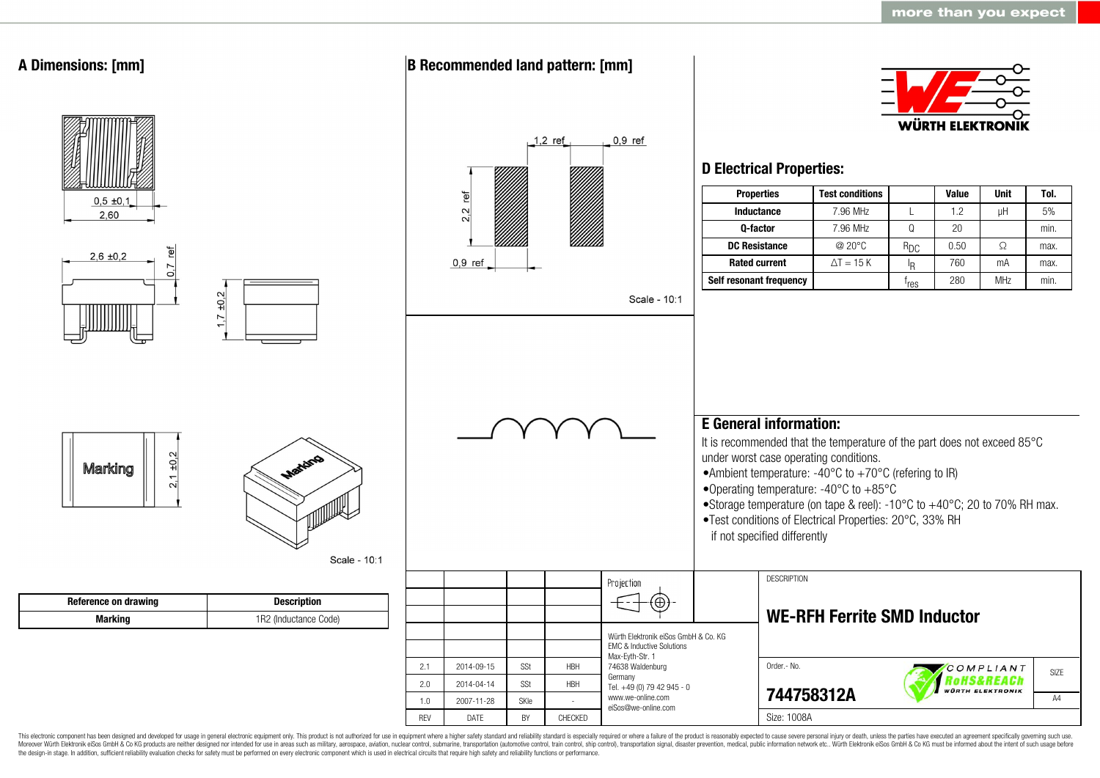

This electronic component has been designed and developed for usage in general electronic equipment only. This product is not authorized for use in equipment where a higher safety standard and reliability standard is espec Moreover Würth Elektronik eiSos GmbH & Co KG products are neither designed nor intended for use in areas such as military, aerospace, aviation, nuclear control, submarine, transportation (automotive control, ship control), the design-in stage. In addition, sufficient reliability evaluation checks for safety must be performed on every electronic component which is used in electrical circuits that require high safety and reliability functions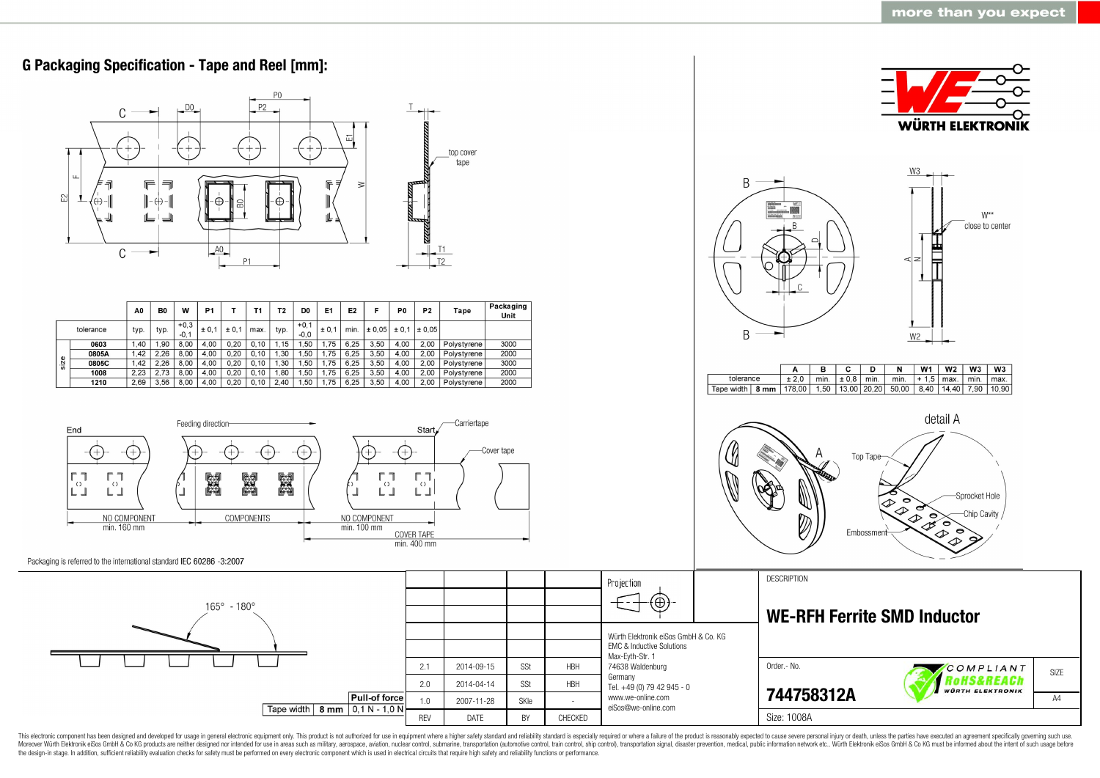

This electronic component has been designed and developed for usage in general electronic equipment only. This product is not authorized for use in equipment where a higher safety standard and reliability standard as espec Moreover Würth Elektronik eiSos GmbH & Co KG products are neither designed nor intended for use in areas such as military, aerospace, aviation, nuclear control, submarine, transportation (automotive control, ship control), the design-in stage. In addition, sufficient reliability evaluation checks for safety must be performed on every electronic component which is used in electrical circuits that require high safety and reliability functions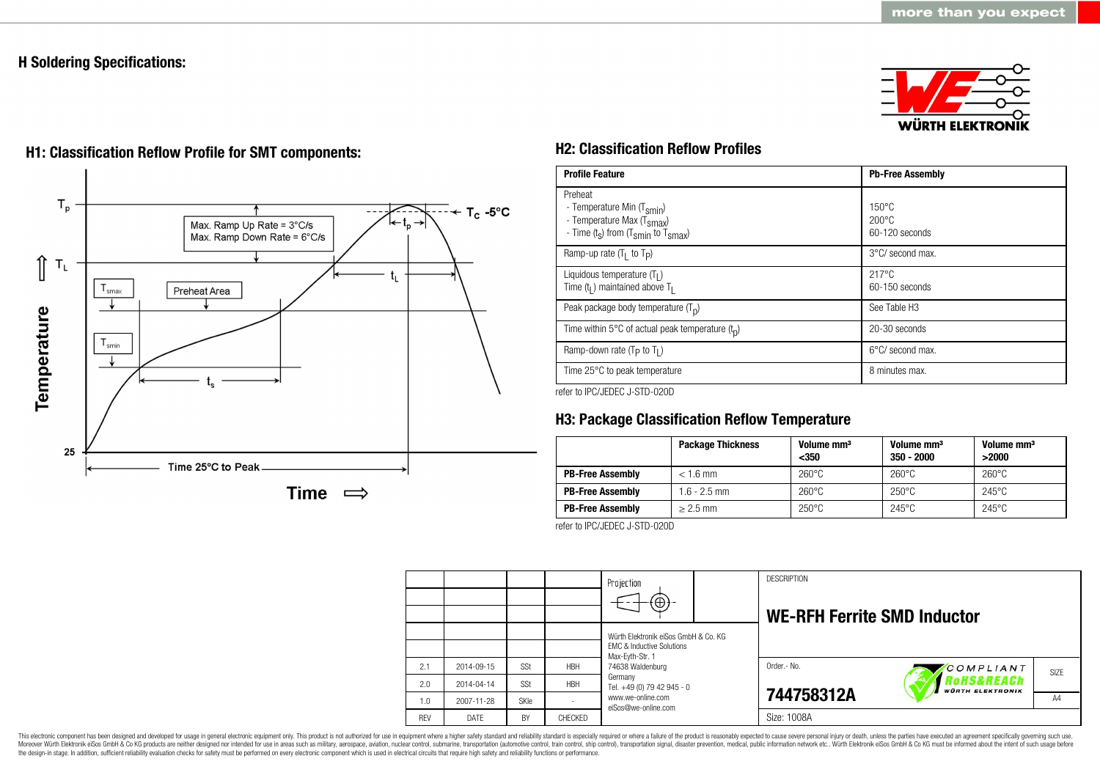## **H Soldering Specifications:**







# **H1: Classification Reflow Profile for SMT components: H2: Classification Reflow Profiles**

| <b>Profile Feature</b>                                                                                                                        | <b>Pb-Free Assembly</b>                                |
|-----------------------------------------------------------------------------------------------------------------------------------------------|--------------------------------------------------------|
| Preheat<br>- Temperature Min (T <sub>smin</sub> )<br>- Temperature Max (T <sub>Smax</sub> )<br>- Time $(t_s)$ from $(T_{smin}$ to $T_{smax})$ | $150^{\circ}$ C<br>$200^{\circ}$ C<br>$60-120$ seconds |
| Ramp-up rate $(T_1$ to $T_p$ )                                                                                                                | 3°C/ second max.                                       |
| Liquidous temperature $(T1)$<br>Time $(tl)$ maintained above T <sub>1</sub>                                                                   | $217^{\circ}$ C<br>60-150 seconds                      |
| Peak package body temperature $(T_p)$                                                                                                         | See Table H <sub>3</sub>                               |
| Time within 5 $\degree$ C of actual peak temperature $(t_n)$                                                                                  | 20-30 seconds                                          |
| Ramp-down rate $(T_P$ to $T_I$ )                                                                                                              | $6^{\circ}$ C/ second max.                             |
| Time 25°C to peak temperature                                                                                                                 | 8 minutes max.                                         |

refer to IPC/JEDEC J-STD-020D

# **H3: Package Classification Reflow Temperature**

|                         | <b>Package Thickness</b> | Volume mm <sup>3</sup><br>$350$ | Volume mm <sup>3</sup><br>$350 - 2000$ | Volume mm <sup>3</sup><br>>2000 |
|-------------------------|--------------------------|---------------------------------|----------------------------------------|---------------------------------|
| <b>PB-Free Assembly</b> | $< 1.6$ mm               | $260^{\circ}$ C                 | $260^{\circ}$ C                        | $260^{\circ}$ C                 |
| <b>PB-Free Assembly</b> | $1.6 - 2.5$ mm           | $260^{\circ}$ C                 | $250^{\circ}$ C                        | $245^{\circ}$ C                 |
| <b>PB-Free Assembly</b> | $> 2.5$ mm               | $250^{\circ}$ C                 | $245^{\circ}$ C                        | $245^{\circ}$ C                 |

refer to IPC/JEDEC J-STD-020D

|            |            |      |            | Projection<br>$\Theta$                                                                                              |  | <b>DESCRIPTION</b><br><b>WE-RFH Ferrite SMD Inductor</b> |           |      |
|------------|------------|------|------------|---------------------------------------------------------------------------------------------------------------------|--|----------------------------------------------------------|-----------|------|
|            |            |      |            | Würth Elektronik eiSos GmbH & Co. KG<br><b>EMC &amp; Inductive Solutions</b><br>Max-Eyth-Str. 1<br>74638 Waldenburg |  |                                                          |           |      |
| 2.1        | 2014-09-15 | SSt  | <b>HBH</b> |                                                                                                                     |  | Order.- No.                                              | COMPLIANT | SIZE |
| 2.0        | 2014-04-14 | SSt  | <b>HBH</b> | Germany<br>Tel. +49 (0) 79 42 945 - 0                                                                               |  | Rohs&REACh<br><b>WÜRTH ELEKTRONIK</b>                    |           |      |
| 1.0        | 2007-11-28 | SKIe |            | www.we-online.com<br>eiSos@we-online.com                                                                            |  | 744758312A                                               |           | A4   |
| <b>REV</b> | DATE       | BY   | CHECKED    |                                                                                                                     |  | Size: 1008A                                              |           |      |

This electronic component has been designed and developed for usage in general electronic equipment only. This product is not authorized for use in equipment where a higher safety standard and reliability standard and reli Moreover Würth Elektronik eiSos GmbH & Co KG products are neither designed nor intended for use in areas such as military, aerospace, aviation, nuclear control, submarine, transportation (automotive control), stain control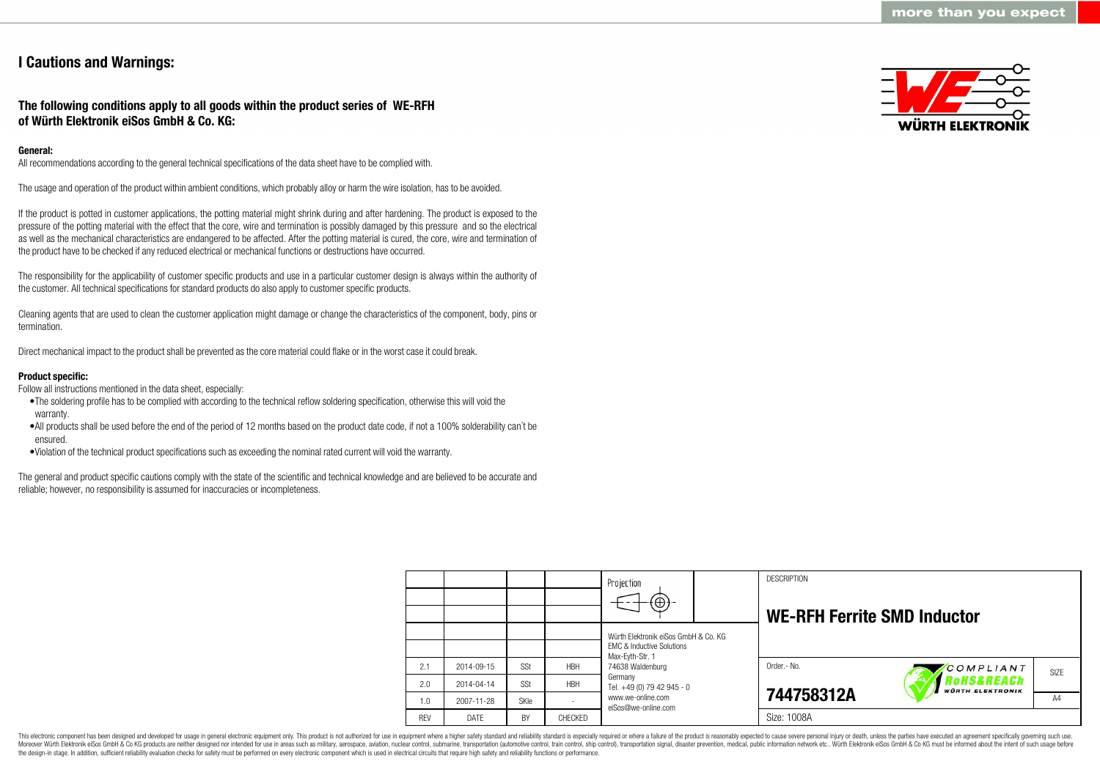## **I Cautions and Warnings:**

### **The following conditions apply to all goods within the product series of WE-RFH of Würth Elektronik eiSos GmbH & Co. KG:**

#### **General:**

All recommendations according to the general technical specifications of the data sheet have to be complied with.

The usage and operation of the product within ambient conditions, which probably alloy or harm the wire isolation, has to be avoided.

If the product is potted in customer applications, the potting material might shrink during and after hardening. The product is exposed to the pressure of the potting material with the effect that the core, wire and termination is possibly damaged by this pressure and so the electrical as well as the mechanical characteristics are endangered to be affected. After the potting material is cured, the core, wire and termination of the product have to be checked if any reduced electrical or mechanical functions or destructions have occurred.

The responsibility for the applicability of customer specific products and use in a particular customer design is always within the authority of the customer. All technical specifications for standard products do also apply to customer specific products.

Cleaning agents that are used to clean the customer application might damage or change the characteristics of the component, body, pins or termination.

Direct mechanical impact to the product shall be prevented as the core material could flake or in the worst case it could break.

#### **Product specific:**

Follow all instructions mentioned in the data sheet, especially:

- •The soldering profile has to be complied with according to the technical reflow soldering specification, otherwise this will void the warranty.
- •All products shall be used before the end of the period of 12 months based on the product date code, if not a 100% solderability can´t be ensured.
- •Violation of the technical product specifications such as exceeding the nominal rated current will void the warranty.

The general and product specific cautions comply with the state of the scientific and technical knowledge and are believed to be accurate and reliable; however, no responsibility is assumed for inaccuracies or incompleteness.



|            |            |             |            | Projection                                                                   |  | <b>DESCRIPTION</b>                 |                                                  |                   |
|------------|------------|-------------|------------|------------------------------------------------------------------------------|--|------------------------------------|--------------------------------------------------|-------------------|
|            |            |             |            | $\textcircled{\scriptsize\textcircled{\scriptsize\textcirc}}$                |  | <b>WE-RFH Ferrite SMD Inductor</b> |                                                  |                   |
|            |            |             |            | Würth Elektronik eiSos GmbH & Co. KG<br><b>EMC &amp; Inductive Solutions</b> |  |                                    |                                                  |                   |
| 2.1        | 2014-09-15 | SSt         | <b>HBH</b> | Max-Evth-Str. 1<br>74638 Waldenburg                                          |  | Order.- No.                        | COMPLIANT                                        | SI <sub>7</sub> F |
| 2.0        | 2014-04-14 | SSt         | <b>HBH</b> | Germany<br>Tel. +49 (0) 79 42 945 - 0                                        |  |                                    | <b>'oHS&amp;REACh</b><br><b>WÜRTH ELEKTRONIK</b> |                   |
| 1.0        | 2007-11-28 | <b>SKIe</b> |            | www.we-online.com<br>eiSos@we-online.com                                     |  | 744758312A                         |                                                  | A4                |
| <b>REV</b> | DATE       | BY          | CHECKED    |                                                                              |  | Size: 1008A                        |                                                  |                   |

This electronic component has been designed and developed for usage in general electronic equipment only. This product is not authorized for use in equipment where a higher safety standard and reliability standard is espec Moreover Würth Elektronik eiSos GmbH & Co KG products are neither designed nor intended for use in areas such as military, aerospace, aviation, nuclear control, submarine, transportation (automotive control), tain control) the design-in stage. In addition, sufficient reliability evaluation checks for safety must be performed on every electronic component which is used in electrical circuits that require high safety and reliability functions